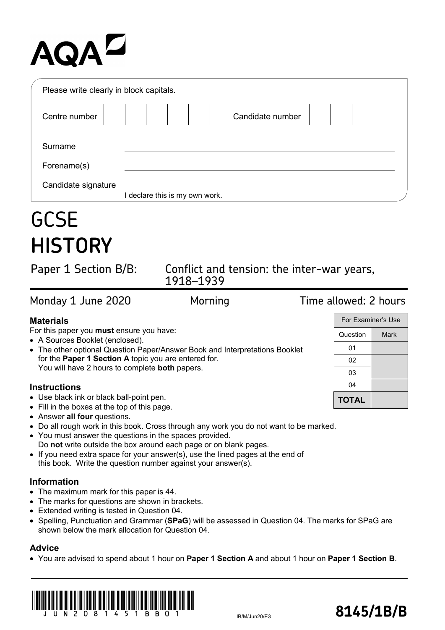# **AQAL**

| Please write clearly in block capitals. |                                |
|-----------------------------------------|--------------------------------|
| Centre number                           | Candidate number               |
| Surname                                 |                                |
| Forename(s)                             |                                |
| Candidate signature                     |                                |
|                                         | I declare this is my own work. |

# GCSE **HISTORY**

Paper 1 Section B/B: Conflict and tension: the inter-war years, 1918–1939

| Monday 1 June 2020                                                          | Morning | Time allowed: 2 hours |             |
|-----------------------------------------------------------------------------|---------|-----------------------|-------------|
| <b>Materials</b>                                                            |         | For Examiner's Use    |             |
| For this paper you must ensure you have:<br>• A Sources Booklet (enclosed). |         | Question              | <b>Mark</b> |
| • The other optional Question Paper/Answer Book and Interpretations Booklet |         | 01                    |             |
| for the <b>Paper 1 Section A</b> topic you are entered for.                 |         | 02                    |             |
| You will have 2 hours to complete both papers.                              |         | $\sim$ $\sim$         |             |

#### **Instructions**

- Use black ink or black ball-point pen.
- Fill in the boxes at the top of this page.
- Answer **all four** questions.
- Do all rough work in this book. Cross through any work you do not want to be marked.
- You must answer the questions in the spaces provided. Do **not** write outside the box around each page or on blank pages.
- If you need extra space for your answer(s), use the lined pages at the end of this book. Write the question number against your answer(s).

## **Information**

- The maximum mark for this paper is 44.
- The marks for questions are shown in brackets.
- Extended writing is tested in Question 04.
- Spelling, Punctuation and Grammar (**SPaG**) will be assessed in Question 04. The marks for SPaG are shown below the mark allocation for Question 04.

## **Advice**

• You are advised to spend about 1 hour on **Paper 1 Section A** and about 1 hour on **Paper 1 Section B**.





03 04 **TOTAL**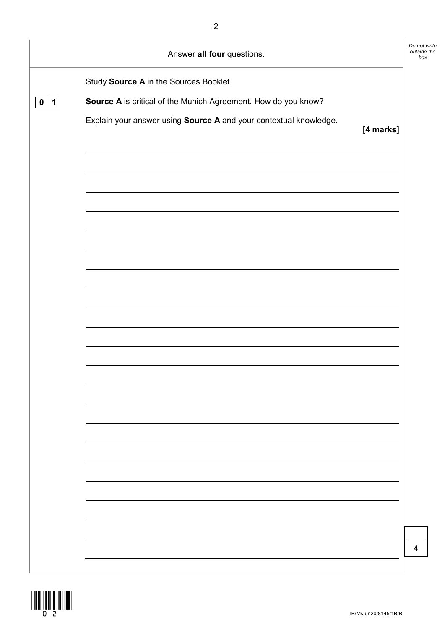|                             | Answer all four questions.                                        |           | Do not<br>outside<br>bo> |
|-----------------------------|-------------------------------------------------------------------|-----------|--------------------------|
|                             | Study Source A in the Sources Booklet.                            |           |                          |
| $\mathbf{0}$<br>$\mathbf 1$ | Source A is critical of the Munich Agreement. How do you know?    |           |                          |
|                             | Explain your answer using Source A and your contextual knowledge. | [4 marks] |                          |
|                             |                                                                   |           |                          |
|                             |                                                                   |           |                          |
|                             |                                                                   |           |                          |
|                             |                                                                   |           |                          |
|                             |                                                                   |           |                          |
|                             |                                                                   |           |                          |
|                             |                                                                   |           |                          |
|                             |                                                                   |           |                          |
|                             |                                                                   |           |                          |
|                             |                                                                   |           |                          |
|                             |                                                                   |           |                          |
|                             |                                                                   |           |                          |
|                             |                                                                   |           |                          |
|                             |                                                                   |           | 4                        |
|                             |                                                                   |           |                          |



*Do not write outside the*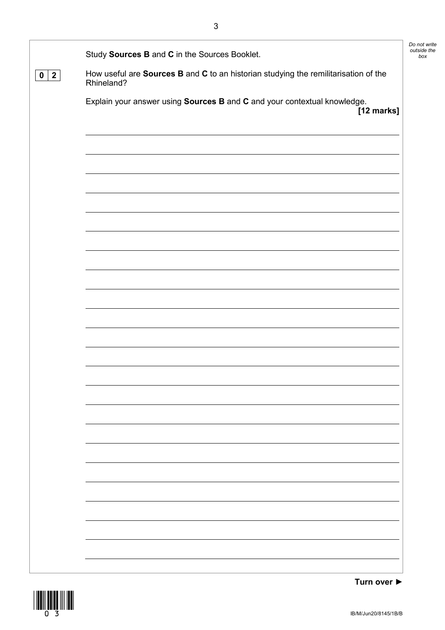|                                   | Study Sources B and C in the Sources Booklet.                                                     | Do not write<br>outside the<br>box |
|-----------------------------------|---------------------------------------------------------------------------------------------------|------------------------------------|
| $\vert$ 2 $\vert$<br>$\mathbf{0}$ | How useful are Sources B and C to an historian studying the remilitarisation of the<br>Rhineland? |                                    |
|                                   | Explain your answer using Sources B and C and your contextual knowledge.                          |                                    |
|                                   | [12 marks]                                                                                        |                                    |
|                                   |                                                                                                   |                                    |
|                                   |                                                                                                   |                                    |
|                                   |                                                                                                   |                                    |
|                                   |                                                                                                   |                                    |
|                                   |                                                                                                   |                                    |
|                                   |                                                                                                   |                                    |
|                                   |                                                                                                   |                                    |
|                                   |                                                                                                   |                                    |
|                                   |                                                                                                   |                                    |
|                                   |                                                                                                   |                                    |
|                                   |                                                                                                   |                                    |
|                                   |                                                                                                   |                                    |
|                                   |                                                                                                   |                                    |
|                                   |                                                                                                   |                                    |
|                                   |                                                                                                   |                                    |
|                                   |                                                                                                   |                                    |
|                                   |                                                                                                   |                                    |
|                                   |                                                                                                   |                                    |
|                                   |                                                                                                   |                                    |
|                                   |                                                                                                   |                                    |
|                                   |                                                                                                   |                                    |
|                                   |                                                                                                   |                                    |
|                                   |                                                                                                   |                                    |
|                                   |                                                                                                   |                                    |



**Turn over ►**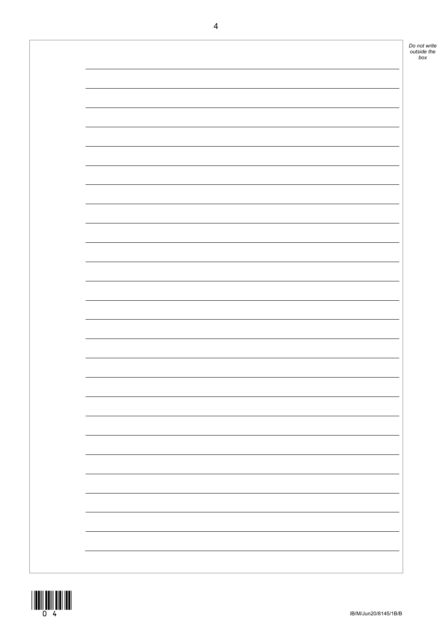



*box*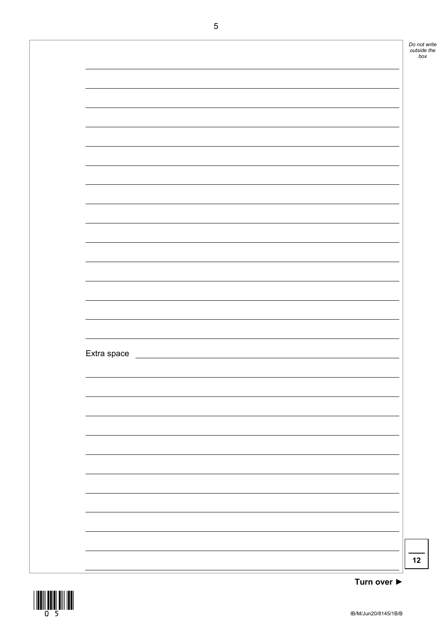| Extra space |
|-------------|
|             |
|             |
|             |
|             |
|             |
|             |
|             |
|             |
|             |
|             |
|             |
|             |
|             |
|             |
|             |
|             |

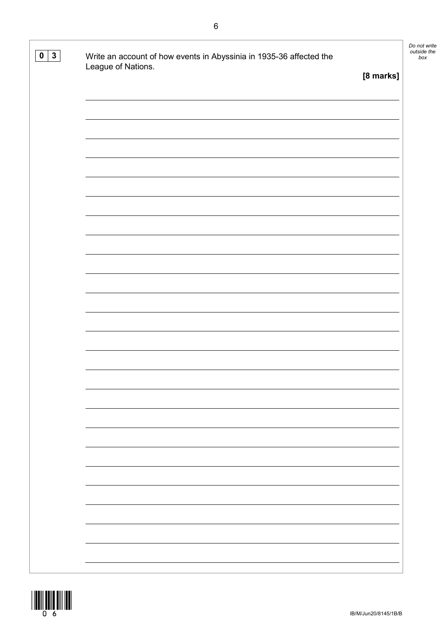| 3<br>$\mathbf 0$ | Write an account of how events in Abyssinia in 1935-36 affected the<br>League of Nations. |           | Do not write<br>outside the<br>box |
|------------------|-------------------------------------------------------------------------------------------|-----------|------------------------------------|
|                  |                                                                                           | [8 marks] |                                    |
|                  |                                                                                           |           |                                    |
|                  |                                                                                           |           |                                    |
|                  |                                                                                           |           |                                    |
|                  |                                                                                           |           |                                    |
|                  |                                                                                           |           |                                    |
|                  |                                                                                           |           |                                    |
|                  |                                                                                           |           |                                    |
|                  |                                                                                           |           |                                    |
|                  |                                                                                           |           |                                    |
|                  |                                                                                           |           |                                    |
|                  |                                                                                           |           |                                    |
|                  |                                                                                           |           |                                    |
|                  |                                                                                           |           |                                    |
|                  |                                                                                           |           |                                    |
|                  |                                                                                           |           |                                    |
|                  |                                                                                           |           |                                    |
|                  |                                                                                           |           |                                    |
|                  |                                                                                           |           |                                    |
|                  |                                                                                           |           |                                    |

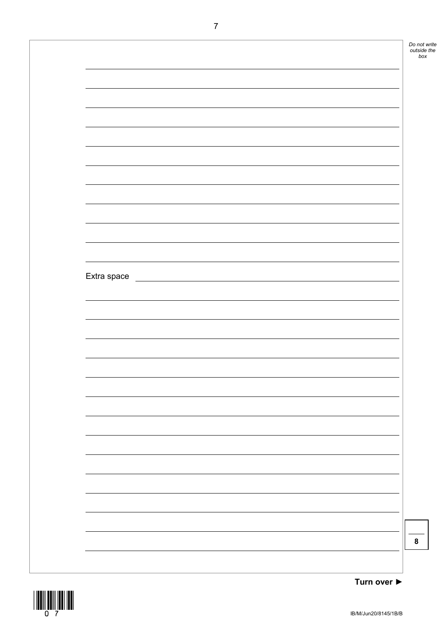|                                                                   | Do not write<br>outside the<br>box |
|-------------------------------------------------------------------|------------------------------------|
|                                                                   |                                    |
|                                                                   |                                    |
|                                                                   |                                    |
|                                                                   |                                    |
|                                                                   |                                    |
|                                                                   |                                    |
|                                                                   |                                    |
|                                                                   |                                    |
|                                                                   |                                    |
|                                                                   |                                    |
|                                                                   |                                    |
|                                                                   |                                    |
|                                                                   |                                    |
| Extra space<br><u> 1980 - John Stein, Amerikaansk politiker (</u> |                                    |
|                                                                   |                                    |
|                                                                   |                                    |
|                                                                   |                                    |
|                                                                   |                                    |
|                                                                   |                                    |
|                                                                   |                                    |
|                                                                   |                                    |
|                                                                   |                                    |
|                                                                   |                                    |
|                                                                   |                                    |
|                                                                   |                                    |
|                                                                   |                                    |
|                                                                   |                                    |
|                                                                   |                                    |
|                                                                   |                                    |
|                                                                   | 8                                  |
|                                                                   |                                    |

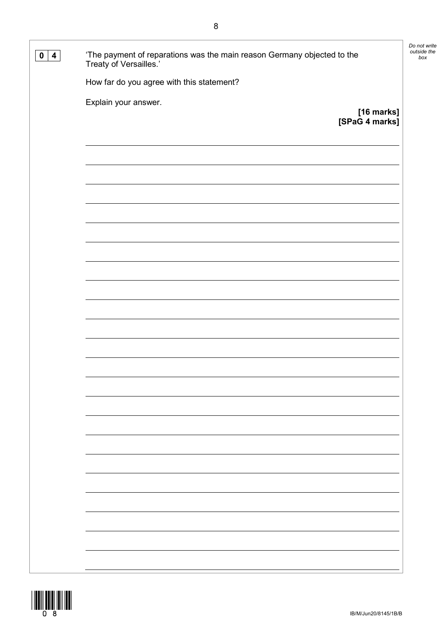| $\overline{\mathbf{4}}$<br>$\mathbf 0$ | 'The payment of reparations was the main reason Germany objected to the<br>Treaty of Versailles.' | Do not write<br>outside the<br>box |
|----------------------------------------|---------------------------------------------------------------------------------------------------|------------------------------------|
|                                        | How far do you agree with this statement?                                                         |                                    |
|                                        | Explain your answer.                                                                              |                                    |
|                                        | [16 marks]<br>[SPaG 4 marks]                                                                      |                                    |
|                                        |                                                                                                   |                                    |
|                                        |                                                                                                   |                                    |
|                                        |                                                                                                   |                                    |
|                                        |                                                                                                   |                                    |
|                                        |                                                                                                   |                                    |
|                                        |                                                                                                   |                                    |
|                                        |                                                                                                   |                                    |
|                                        |                                                                                                   |                                    |
|                                        |                                                                                                   |                                    |
|                                        |                                                                                                   |                                    |
|                                        |                                                                                                   |                                    |
|                                        |                                                                                                   |                                    |
|                                        |                                                                                                   |                                    |
|                                        |                                                                                                   |                                    |
|                                        |                                                                                                   |                                    |
|                                        |                                                                                                   |                                    |
|                                        |                                                                                                   |                                    |
|                                        |                                                                                                   |                                    |
|                                        |                                                                                                   |                                    |
|                                        |                                                                                                   |                                    |
|                                        |                                                                                                   |                                    |
|                                        |                                                                                                   |                                    |
|                                        |                                                                                                   |                                    |
|                                        |                                                                                                   |                                    |

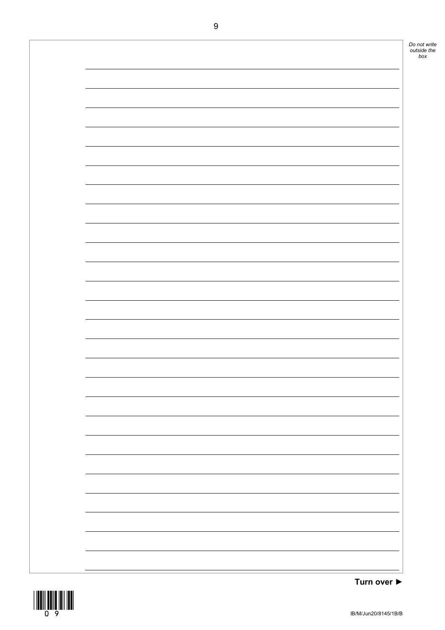

**Turn over ►**

*box*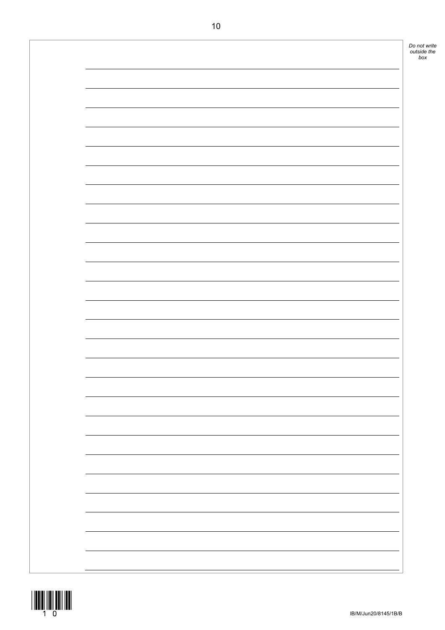



*box*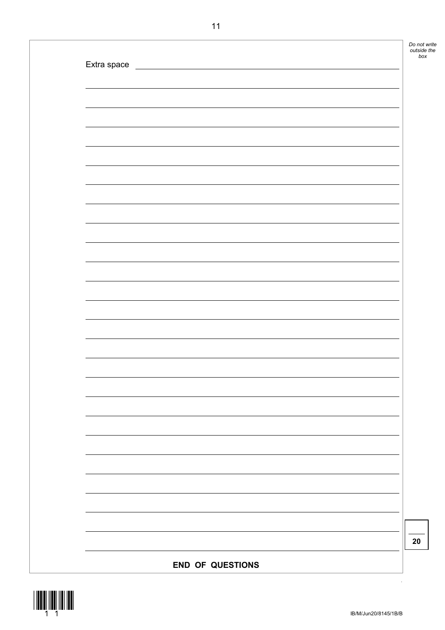| Extra space |  |  |
|-------------|--|--|
|             |  |  |
|             |  |  |
|             |  |  |
|             |  |  |
|             |  |  |
|             |  |  |
|             |  |  |
|             |  |  |
|             |  |  |
|             |  |  |
|             |  |  |
|             |  |  |
|             |  |  |
|             |  |  |
|             |  |  |
|             |  |  |
|             |  |  |
|             |  |  |
|             |  |  |
|             |  |  |
|             |  |  |
|             |  |  |
|             |  |  |
|             |  |  |
|             |  |  |
|             |  |  |
|             |  |  |
|             |  |  |
|             |  |  |
|             |  |  |
|             |  |  |
|             |  |  |
|             |  |  |
|             |  |  |

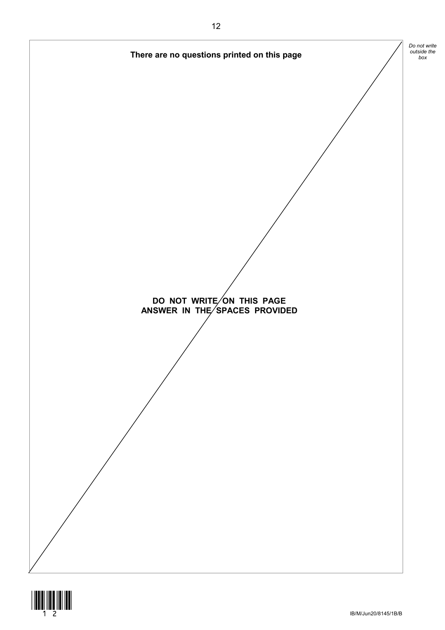

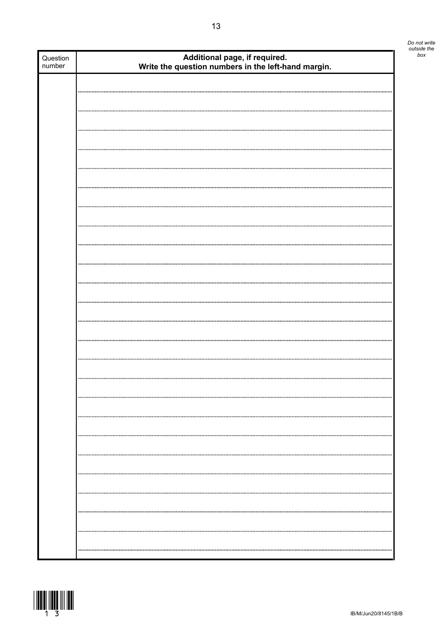| Question<br>number | Additional page, if required.<br>Write the question numbers in the left-hand margin. |  |
|--------------------|--------------------------------------------------------------------------------------|--|
|                    |                                                                                      |  |
|                    |                                                                                      |  |
|                    |                                                                                      |  |
|                    |                                                                                      |  |
|                    |                                                                                      |  |
|                    |                                                                                      |  |
|                    |                                                                                      |  |
|                    |                                                                                      |  |
|                    |                                                                                      |  |
|                    |                                                                                      |  |
|                    |                                                                                      |  |
|                    |                                                                                      |  |
|                    |                                                                                      |  |
|                    |                                                                                      |  |
|                    |                                                                                      |  |
|                    |                                                                                      |  |
|                    |                                                                                      |  |
|                    |                                                                                      |  |
|                    |                                                                                      |  |
|                    |                                                                                      |  |
|                    |                                                                                      |  |
|                    |                                                                                      |  |
|                    |                                                                                      |  |
|                    |                                                                                      |  |
|                    |                                                                                      |  |
|                    |                                                                                      |  |
|                    |                                                                                      |  |
|                    |                                                                                      |  |
|                    |                                                                                      |  |
|                    |                                                                                      |  |
|                    |                                                                                      |  |
|                    |                                                                                      |  |
|                    |                                                                                      |  |
|                    |                                                                                      |  |
|                    |                                                                                      |  |
|                    |                                                                                      |  |
|                    |                                                                                      |  |
|                    |                                                                                      |  |
|                    |                                                                                      |  |
|                    |                                                                                      |  |



ı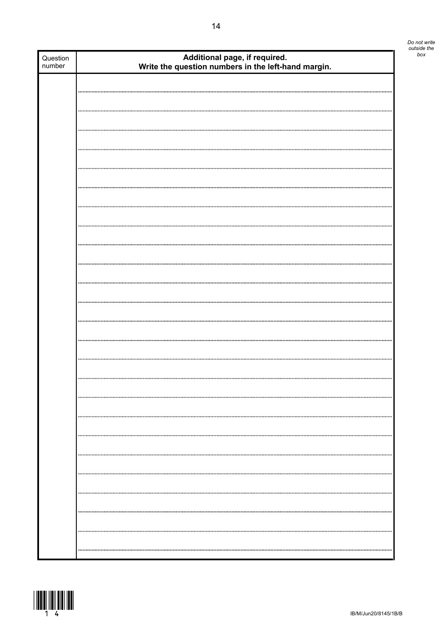| Question<br>number | Additional page, if required.<br>Write the question numbers in the left-hand margin. | bo |
|--------------------|--------------------------------------------------------------------------------------|----|
|                    |                                                                                      |    |
|                    |                                                                                      |    |
|                    |                                                                                      |    |
|                    |                                                                                      |    |
|                    |                                                                                      |    |
|                    |                                                                                      |    |
|                    |                                                                                      |    |
|                    |                                                                                      |    |
|                    |                                                                                      |    |
|                    |                                                                                      |    |
|                    |                                                                                      |    |
|                    |                                                                                      |    |
|                    |                                                                                      |    |
|                    |                                                                                      |    |
|                    |                                                                                      |    |
|                    |                                                                                      |    |
|                    |                                                                                      |    |
|                    |                                                                                      |    |
|                    |                                                                                      |    |
|                    |                                                                                      |    |
|                    |                                                                                      |    |
|                    |                                                                                      |    |
|                    |                                                                                      |    |
|                    |                                                                                      |    |
|                    |                                                                                      |    |
|                    |                                                                                      |    |
|                    |                                                                                      |    |
|                    |                                                                                      |    |
|                    |                                                                                      |    |
|                    |                                                                                      |    |
|                    |                                                                                      |    |
|                    |                                                                                      |    |
|                    |                                                                                      |    |
|                    |                                                                                      |    |
|                    |                                                                                      |    |

.....................



. . . . . . . . . . . . . . . . .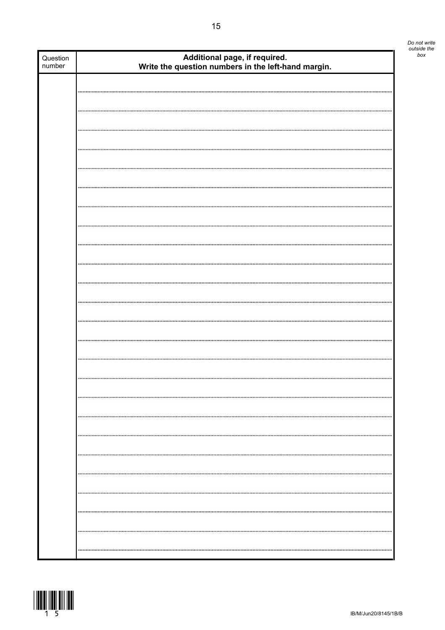| Question<br>number | Additional page, if required.<br>Write the question numbers in the left-hand margin. |  |
|--------------------|--------------------------------------------------------------------------------------|--|
|                    |                                                                                      |  |
|                    |                                                                                      |  |
|                    |                                                                                      |  |
|                    |                                                                                      |  |
|                    |                                                                                      |  |
|                    |                                                                                      |  |
|                    |                                                                                      |  |
|                    |                                                                                      |  |
|                    |                                                                                      |  |
|                    |                                                                                      |  |
|                    |                                                                                      |  |
|                    |                                                                                      |  |
|                    |                                                                                      |  |
|                    |                                                                                      |  |
|                    |                                                                                      |  |
|                    |                                                                                      |  |
|                    |                                                                                      |  |
|                    |                                                                                      |  |
|                    |                                                                                      |  |
|                    |                                                                                      |  |
|                    |                                                                                      |  |
|                    |                                                                                      |  |
|                    |                                                                                      |  |
|                    |                                                                                      |  |
|                    |                                                                                      |  |
|                    |                                                                                      |  |
|                    |                                                                                      |  |
|                    |                                                                                      |  |
|                    |                                                                                      |  |
|                    |                                                                                      |  |
|                    |                                                                                      |  |
|                    |                                                                                      |  |
|                    |                                                                                      |  |
|                    |                                                                                      |  |
|                    |                                                                                      |  |
|                    |                                                                                      |  |
|                    |                                                                                      |  |
|                    |                                                                                      |  |
|                    |                                                                                      |  |
|                    |                                                                                      |  |
|                    |                                                                                      |  |
|                    |                                                                                      |  |



 $\overline{\phantom{a}}$ 

*Do not write outside the*